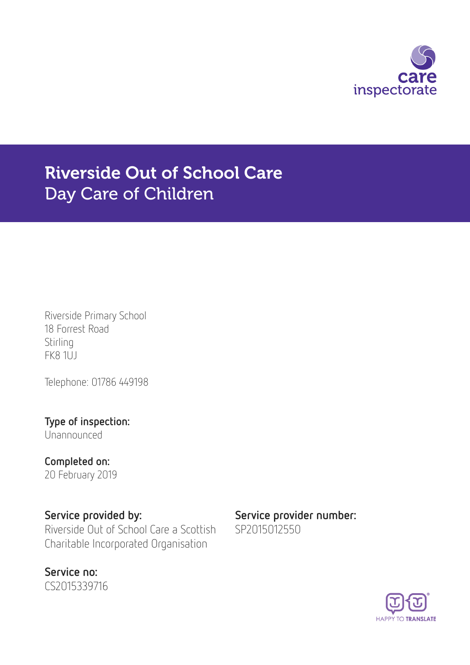

# Riverside Out of School Care Day Care of Children

Riverside Primary School 18 Forrest Road **Stirling** FK8 1UJ

Telephone: 01786 449198

Type of inspection: Unannounced

Completed on: 20 February 2019

Service provided by: Service provider number: Riverside Out of School Care a Scottish Charitable Incorporated Organisation

Service no: CS2015339716 SP2015012550

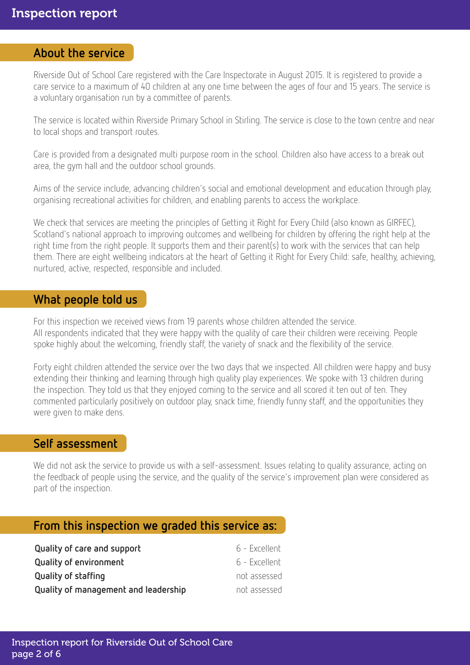#### About the service

Riverside Out of School Care registered with the Care Inspectorate in August 2015. It is registered to provide a care service to a maximum of 40 children at any one time between the ages of four and 15 years. The service is a voluntary organisation run by a committee of parents.

The service is located within Riverside Primary School in Stirling. The service is close to the town centre and near to local shops and transport routes.

Care is provided from a designated multi purpose room in the school. Children also have access to a break out area, the gym hall and the outdoor school grounds.

Aims of the service include, advancing children's social and emotional development and education through play, organising recreational activities for children, and enabling parents to access the workplace.

We check that services are meeting the principles of Getting it Right for Every Child (also known as GIRFEC), Scotland's national approach to improving outcomes and wellbeing for children by offering the right help at the right time from the right people. It supports them and their parent(s) to work with the services that can help them. There are eight wellbeing indicators at the heart of Getting it Right for Every Child: safe, healthy, achieving, nurtured, active, respected, responsible and included.

### What people told us

For this inspection we received views from 19 parents whose children attended the service. All respondents indicated that they were happy with the quality of care their children were receiving. People spoke highly about the welcoming, friendly staff, the variety of snack and the flexibility of the service.

Forty eight children attended the service over the two days that we inspected. All children were happy and busy extending their thinking and learning through high quality play experiences. We spoke with 13 children during the inspection. They told us that they enjoyed coming to the service and all scored it ten out of ten. They commented particularly positively on outdoor play, snack time, friendly funny staff, and the opportunities they were given to make dens.

#### Self assessment

We did not ask the service to provide us with a self-assessment. Issues relating to quality assurance, acting on the feedback of people using the service, and the quality of the service's improvement plan were considered as part of the inspection.

### From this inspection we graded this service as:

| Quality of care and support          | 6 - Excellent |
|--------------------------------------|---------------|
| <b>Quality of environment</b>        | 6 - Excellent |
| <b>Quality of staffing</b>           | not assessed  |
| Quality of management and leadership | not assessed  |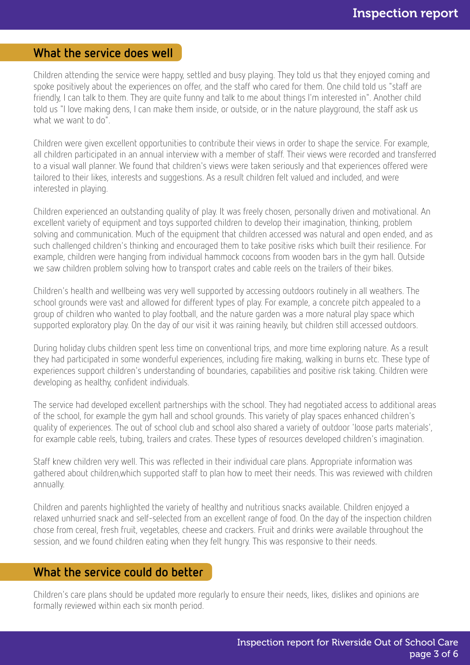### What the service does well

Children attending the service were happy, settled and busy playing. They told us that they enjoyed coming and spoke positively about the experiences on offer, and the staff who cared for them. One child told us "staff are friendly, I can talk to them. They are quite funny and talk to me about things I'm interested in". Another child told us "I love making dens, I can make them inside, or outside, or in the nature playground, the staff ask us what we want to do".

Children were given excellent opportunities to contribute their views in order to shape the service. For example, all children participated in an annual interview with a member of staff. Their views were recorded and transferred to a visual wall planner. We found that children's views were taken seriously and that experiences offered were tailored to their likes, interests and suggestions. As a result children felt valued and included, and were interested in playing.

Children experienced an outstanding quality of play. It was freely chosen, personally driven and motivational. An excellent variety of equipment and toys supported children to develop their imagination, thinking, problem solving and communication. Much of the equipment that children accessed was natural and open ended, and as such challenged children's thinking and encouraged them to take positive risks which built their resilience. For example, children were hanging from individual hammock cocoons from wooden bars in the gym hall. Outside we saw children problem solving how to transport crates and cable reels on the trailers of their bikes.

Children's health and wellbeing was very well supported by accessing outdoors routinely in all weathers. The school grounds were vast and allowed for different types of play. For example, a concrete pitch appealed to a group of children who wanted to play football, and the nature garden was a more natural play space which supported exploratory play. On the day of our visit it was raining heavily, but children still accessed outdoors.

During holiday clubs children spent less time on conventional trips, and more time exploring nature. As a result they had participated in some wonderful experiences, including fire making, walking in burns etc. These type of experiences support children's understanding of boundaries, capabilities and positive risk taking. Children were developing as healthy, confident individuals.

The service had developed excellent partnerships with the school. They had negotiated access to additional areas of the school, for example the gym hall and school grounds. This variety of play spaces enhanced children's quality of experiences. The out of school club and school also shared a variety of outdoor 'loose parts materials', for example cable reels, tubing, trailers and crates. These types of resources developed children's imagination.

Staff knew children very well. This was reflected in their individual care plans. Appropriate information was gathered about children,which supported staff to plan how to meet their needs. This was reviewed with children annually.

Children and parents highlighted the variety of healthy and nutritious snacks available. Children enjoyed a relaxed unhurried snack and self-selected from an excellent range of food. On the day of the inspection children chose from cereal, fresh fruit, vegetables, cheese and crackers. Fruit and drinks were available throughout the session, and we found children eating when they felt hungry. This was responsive to their needs.

### What the service could do better

Children's care plans should be updated more regularly to ensure their needs, likes, dislikes and opinions are formally reviewed within each six month period.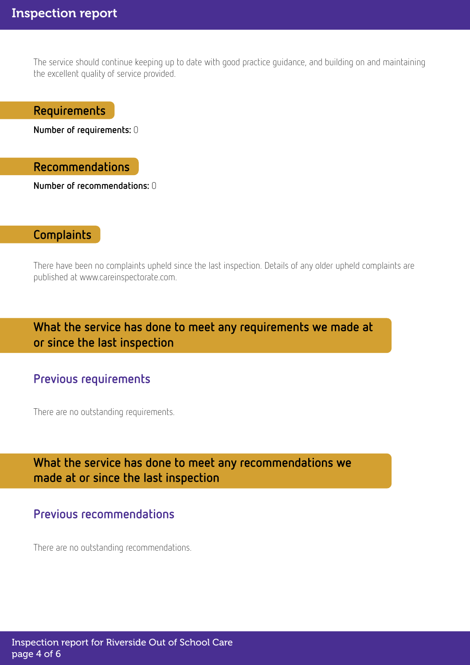The service should continue keeping up to date with good practice guidance, and building on and maintaining the excellent quality of service provided.

Requirements

Number of requirements: 0

Recommendations

Number of recommendations: 0

### **Complaints**

There have been no complaints upheld since the last inspection. Details of any older upheld complaints are published at www.careinspectorate.com.

### What the service has done to meet any requirements we made at or since the last inspection

### Previous requirements

There are no outstanding requirements.

What the service has done to meet any recommendations we made at or since the last inspection

### Previous recommendations

There are no outstanding recommendations.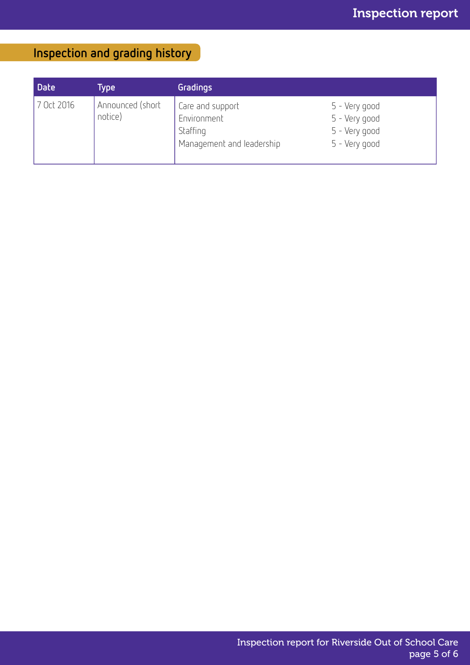## Inspection and grading history

| <b>Date</b> | Type                        | Gradings                                                                 |                                                                  |
|-------------|-----------------------------|--------------------------------------------------------------------------|------------------------------------------------------------------|
| 7 Oct 2016  | Announced (short<br>notice) | Care and support<br>Environment<br>Staffing<br>Management and leadership | 5 - Very good<br>5 - Very good<br>5 - Very good<br>5 - Very good |